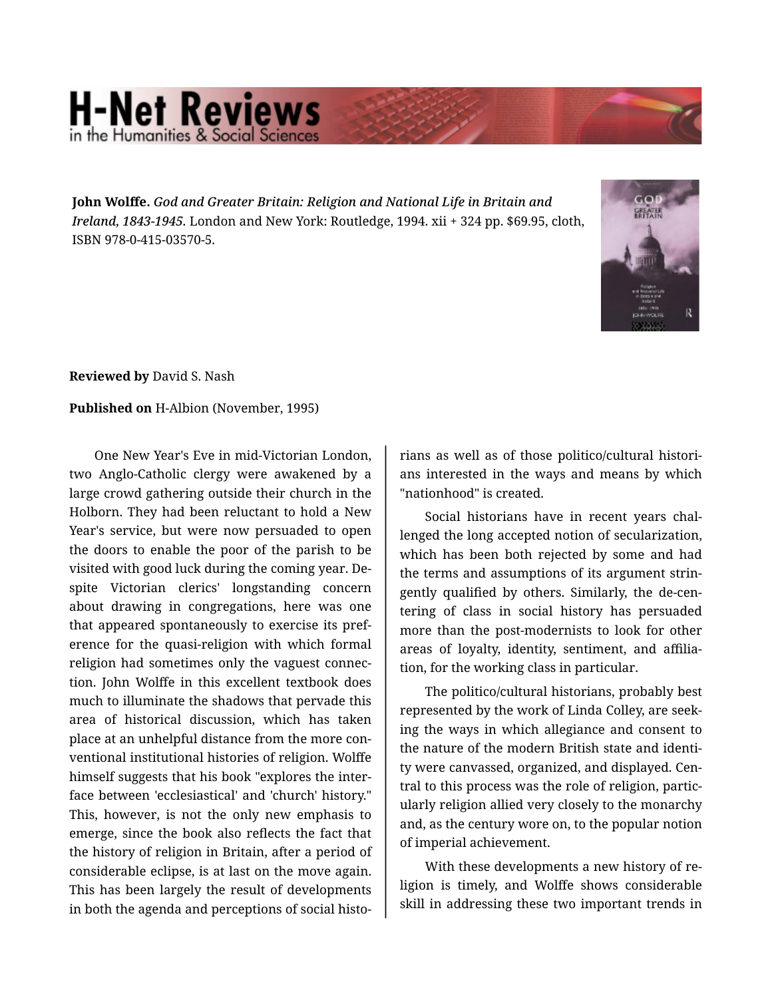## **H-Net Reviews**

**John Wolffe.** *God and Greater Britain: Religion and National Life in Britain and Ireland, 1843-1945.* London and New York: Routledge, 1994. xii + 324 pp. \$69.95, cloth, ISBN 978-0-415-03570-5.



**Reviewed by** David S. Nash

## **Published on** H-Albion (November, 1995)

One New Year's Eve in mid-Victorian London, two Anglo-Catholic clergy were awakened by a large crowd gathering outside their church in the Holborn. They had been reluctant to hold a New Year's service, but were now persuaded to open the doors to enable the poor of the parish to be visited with good luck during the coming year. De‐ spite Victorian clerics' longstanding concern about drawing in congregations, here was one that appeared spontaneously to exercise its pref‐ erence for the quasi-religion with which formal religion had sometimes only the vaguest connec‐ tion. John Wolffe in this excellent textbook does much to illuminate the shadows that pervade this area of historical discussion, which has taken place at an unhelpful distance from the more con‐ ventional institutional histories of religion. Wolffe himself suggests that his book "explores the inter‐ face between 'ecclesiastical' and 'church' history." This, however, is not the only new emphasis to emerge, since the book also reflects the fact that the history of religion in Britain, after a period of considerable eclipse, is at last on the move again. This has been largely the result of developments in both the agenda and perceptions of social historians as well as of those politico/cultural histori‐ ans interested in the ways and means by which "nationhood" is created.

Social historians have in recent years chal‐ lenged the long accepted notion of secularization, which has been both rejected by some and had the terms and assumptions of its argument strin‐ gently qualified by others. Similarly, the de-cen‐ tering of class in social history has persuaded more than the post-modernists to look for other areas of loyalty, identity, sentiment, and affilia‐ tion, for the working class in particular.

The politico/cultural historians, probably best represented by the work of Linda Colley, are seek‐ ing the ways in which allegiance and consent to the nature of the modern British state and identi‐ ty were canvassed, organized, and displayed. Cen‐ tral to this process was the role of religion, partic‐ ularly religion allied very closely to the monarchy and, as the century wore on, to the popular notion of imperial achievement.

With these developments a new history of re‐ ligion is timely, and Wolffe shows considerable skill in addressing these two important trends in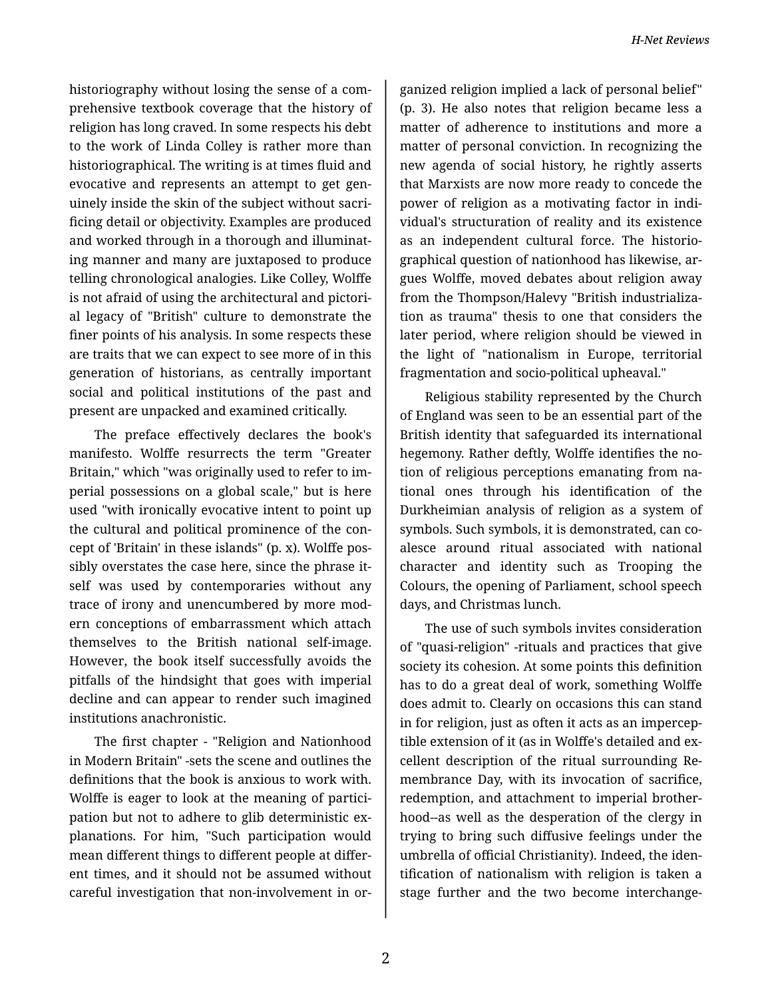historiography without losing the sense of a com‐ prehensive textbook coverage that the history of religion has long craved. In some respects his debt to the work of Linda Colley is rather more than historiographical. The writing is at times fluid and evocative and represents an attempt to get gen‐ uinely inside the skin of the subject without sacri‐ ficing detail or objectivity. Examples are produced and worked through in a thorough and illuminat‐ ing manner and many are juxtaposed to produce telling chronological analogies. Like Colley, Wolffe is not afraid of using the architectural and pictori‐ al legacy of "British" culture to demonstrate the finer points of his analysis. In some respects these are traits that we can expect to see more of in this generation of historians, as centrally important social and political institutions of the past and present are unpacked and examined critically.

The preface effectively declares the book's manifesto. Wolffe resurrects the term "Greater Britain," which "was originally used to refer to im‐ perial possessions on a global scale," but is here used "with ironically evocative intent to point up the cultural and political prominence of the con‐ cept of 'Britain' in these islands" (p. x). Wolffe pos‐ sibly overstates the case here, since the phrase it‐ self was used by contemporaries without any trace of irony and unencumbered by more mod‐ ern conceptions of embarrassment which attach themselves to the British national self-image. However, the book itself successfully avoids the pitfalls of the hindsight that goes with imperial decline and can appear to render such imagined institutions anachronistic.

The first chapter - "Religion and Nationhood in Modern Britain" -sets the scene and outlines the definitions that the book is anxious to work with. Wolffe is eager to look at the meaning of participation but not to adhere to glib deterministic explanations. For him, "Such participation would mean different things to different people at differ‐ ent times, and it should not be assumed without careful investigation that non-involvement in or‐

ganized religion implied a lack of personal belief" (p. 3). He also notes that religion became less a matter of adherence to institutions and more a matter of personal conviction. In recognizing the new agenda of social history, he rightly asserts that Marxists are now more ready to concede the power of religion as a motivating factor in indi‐ vidual's structuration of reality and its existence as an independent cultural force. The historio‐ graphical question of nationhood has likewise, ar‐ gues Wolffe, moved debates about religion away from the Thompson/Halevy "British industrializa‐ tion as trauma" thesis to one that considers the later period, where religion should be viewed in the light of "nationalism in Europe, territorial fragmentation and socio-political upheaval."

Religious stability represented by the Church of England was seen to be an essential part of the British identity that safeguarded its international hegemony. Rather deftly, Wolffe identifies the no‐ tion of religious perceptions emanating from na‐ tional ones through his identification of the Durkheimian analysis of religion as a system of symbols. Such symbols, it is demonstrated, can co‐ alesce around ritual associated with national character and identity such as Trooping the Colours, the opening of Parliament, school speech days, and Christmas lunch.

The use of such symbols invites consideration of "quasi-religion" -rituals and practices that give society its cohesion. At some points this definition has to do a great deal of work, something Wolffe does admit to. Clearly on occasions this can stand in for religion, just as often it acts as an impercep‐ tible extension of it (as in Wolffe's detailed and ex‐ cellent description of the ritual surrounding Re‐ membrance Day, with its invocation of sacrifice, redemption, and attachment to imperial brother‐ hood--as well as the desperation of the clergy in trying to bring such diffusive feelings under the umbrella of official Christianity). Indeed, the iden‐ tification of nationalism with religion is taken a stage further and the two become interchange‐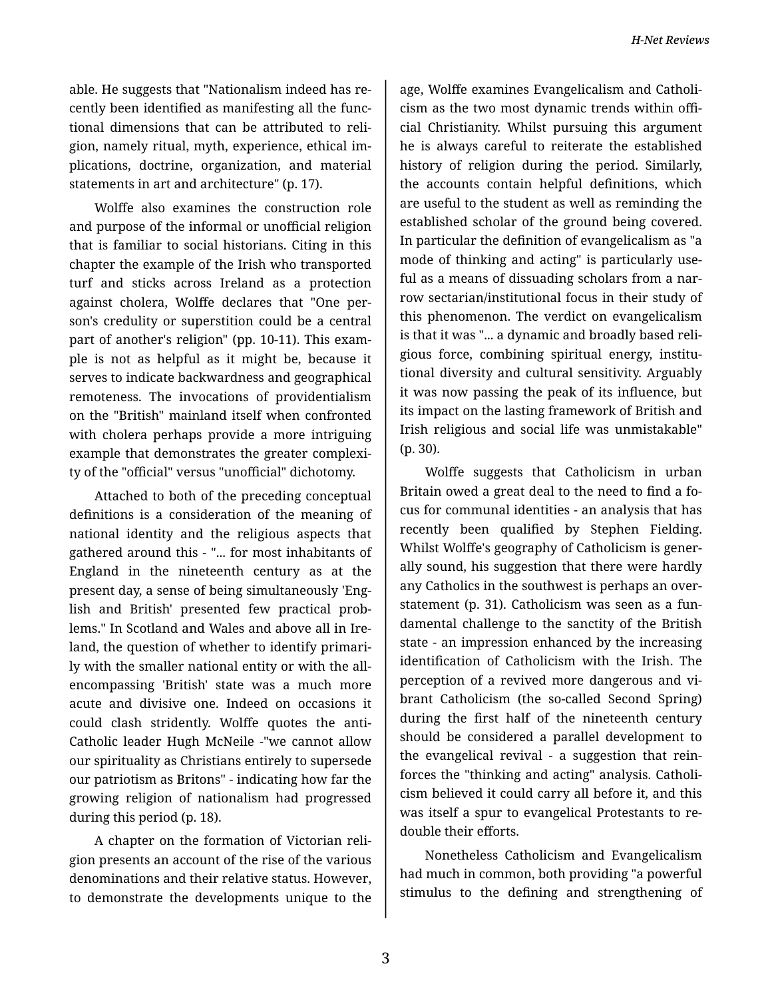able. He suggests that "Nationalism indeed has re‐ cently been identified as manifesting all the func‐ tional dimensions that can be attributed to reli‐ gion, namely ritual, myth, experience, ethical im‐ plications, doctrine, organization, and material statements in art and architecture" (p. 17).

Wolffe also examines the construction role and purpose of the informal or unofficial religion that is familiar to social historians. Citing in this chapter the example of the Irish who transported turf and sticks across Ireland as a protection against cholera, Wolffe declares that "One per‐ son's credulity or superstition could be a central part of another's religion" (pp. 10-11). This exam‐ ple is not as helpful as it might be, because it serves to indicate backwardness and geographical remoteness. The invocations of providentialism on the "British" mainland itself when confronted with cholera perhaps provide a more intriguing example that demonstrates the greater complexi‐ ty of the "official" versus "unofficial" dichotomy.

Attached to both of the preceding conceptual definitions is a consideration of the meaning of national identity and the religious aspects that gathered around this - "... for most inhabitants of England in the nineteenth century as at the present day, a sense of being simultaneously 'Eng‐ lish and British' presented few practical prob‐ lems." In Scotland and Wales and above all in Ire‐ land, the question of whether to identify primari‐ ly with the smaller national entity or with the allencompassing 'British' state was a much more acute and divisive one. Indeed on occasions it could clash stridently. Wolffe quotes the anti-Catholic leader Hugh McNeile -"we cannot allow our spirituality as Christians entirely to supersede our patriotism as Britons" - indicating how far the growing religion of nationalism had progressed during this period (p. 18).

A chapter on the formation of Victorian reli‐ gion presents an account of the rise of the various denominations and their relative status. However, to demonstrate the developments unique to the

age, Wolffe examines Evangelicalism and Catholi‐ cism as the two most dynamic trends within offi‐ cial Christianity. Whilst pursuing this argument he is always careful to reiterate the established history of religion during the period. Similarly, the accounts contain helpful definitions, which are useful to the student as well as reminding the established scholar of the ground being covered. In particular the definition of evangelicalism as "a mode of thinking and acting" is particularly use‐ ful as a means of dissuading scholars from a nar‐ row sectarian/institutional focus in their study of this phenomenon. The verdict on evangelicalism is that it was "... a dynamic and broadly based reli‐ gious force, combining spiritual energy, institu‐ tional diversity and cultural sensitivity. Arguably it was now passing the peak of its influence, but its impact on the lasting framework of British and Irish religious and social life was unmistakable" (p. 30).

Wolffe suggests that Catholicism in urban Britain owed a great deal to the need to find a focus for communal identities - an analysis that has recently been qualified by Stephen Fielding. Whilst Wolffe's geography of Catholicism is gener‐ ally sound, his suggestion that there were hardly any Catholics in the southwest is perhaps an over‐ statement (p. 31). Catholicism was seen as a fun‐ damental challenge to the sanctity of the British state - an impression enhanced by the increasing identification of Catholicism with the Irish. The perception of a revived more dangerous and vi‐ brant Catholicism (the so-called Second Spring) during the first half of the nineteenth century should be considered a parallel development to the evangelical revival - a suggestion that rein‐ forces the "thinking and acting" analysis. Catholi‐ cism believed it could carry all before it, and this was itself a spur to evangelical Protestants to re‐ double their efforts.

Nonetheless Catholicism and Evangelicalism had much in common, both providing "a powerful stimulus to the defining and strengthening of

3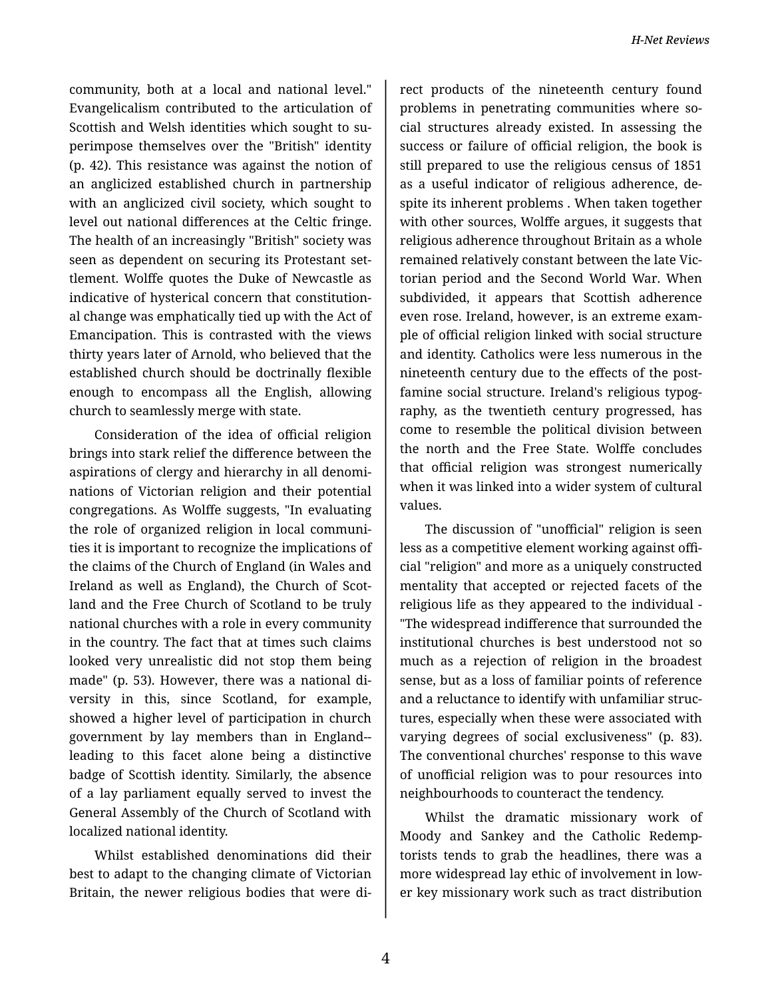community, both at a local and national level." Evangelicalism contributed to the articulation of Scottish and Welsh identities which sought to su‐ perimpose themselves over the "British" identity (p. 42). This resistance was against the notion of an anglicized established church in partnership with an anglicized civil society, which sought to level out national differences at the Celtic fringe. The health of an increasingly "British" society was seen as dependent on securing its Protestant set‐ tlement. Wolffe quotes the Duke of Newcastle as indicative of hysterical concern that constitution‐ al change was emphatically tied up with the Act of Emancipation. This is contrasted with the views thirty years later of Arnold, who believed that the established church should be doctrinally flexible enough to encompass all the English, allowing church to seamlessly merge with state.

Consideration of the idea of official religion brings into stark relief the difference between the aspirations of clergy and hierarchy in all denomi‐ nations of Victorian religion and their potential congregations. As Wolffe suggests, "In evaluating the role of organized religion in local communi‐ ties it is important to recognize the implications of the claims of the Church of England (in Wales and Ireland as well as England), the Church of Scot‐ land and the Free Church of Scotland to be truly national churches with a role in every community in the country. The fact that at times such claims looked very unrealistic did not stop them being made" (p. 53). However, there was a national di‐ versity in this, since Scotland, for example, showed a higher level of participation in church government by lay members than in England- leading to this facet alone being a distinctive badge of Scottish identity. Similarly, the absence of a lay parliament equally served to invest the General Assembly of the Church of Scotland with localized national identity.

Whilst established denominations did their best to adapt to the changing climate of Victorian Britain, the newer religious bodies that were di‐

rect products of the nineteenth century found problems in penetrating communities where so‐ cial structures already existed. In assessing the success or failure of official religion, the book is still prepared to use the religious census of 1851 as a useful indicator of religious adherence, de‐ spite its inherent problems . When taken together with other sources, Wolffe argues, it suggests that religious adherence throughout Britain as a whole remained relatively constant between the late Vic‐ torian period and the Second World War. When subdivided, it appears that Scottish adherence even rose. Ireland, however, is an extreme exam‐ ple of official religion linked with social structure and identity. Catholics were less numerous in the nineteenth century due to the effects of the postfamine social structure. Ireland's religious typog‐ raphy, as the twentieth century progressed, has come to resemble the political division between the north and the Free State. Wolffe concludes that official religion was strongest numerically when it was linked into a wider system of cultural values.

The discussion of "unofficial" religion is seen less as a competitive element working against offi‐ cial "religion" and more as a uniquely constructed mentality that accepted or rejected facets of the religious life as they appeared to the individual - "The widespread indifference that surrounded the institutional churches is best understood not so much as a rejection of religion in the broadest sense, but as a loss of familiar points of reference and a reluctance to identify with unfamiliar struc‐ tures, especially when these were associated with varying degrees of social exclusiveness" (p. 83). The conventional churches' response to this wave of unofficial religion was to pour resources into neighbourhoods to counteract the tendency.

Whilst the dramatic missionary work of Moody and Sankey and the Catholic Redemp‐ torists tends to grab the headlines, there was a more widespread lay ethic of involvement in low‐ er key missionary work such as tract distribution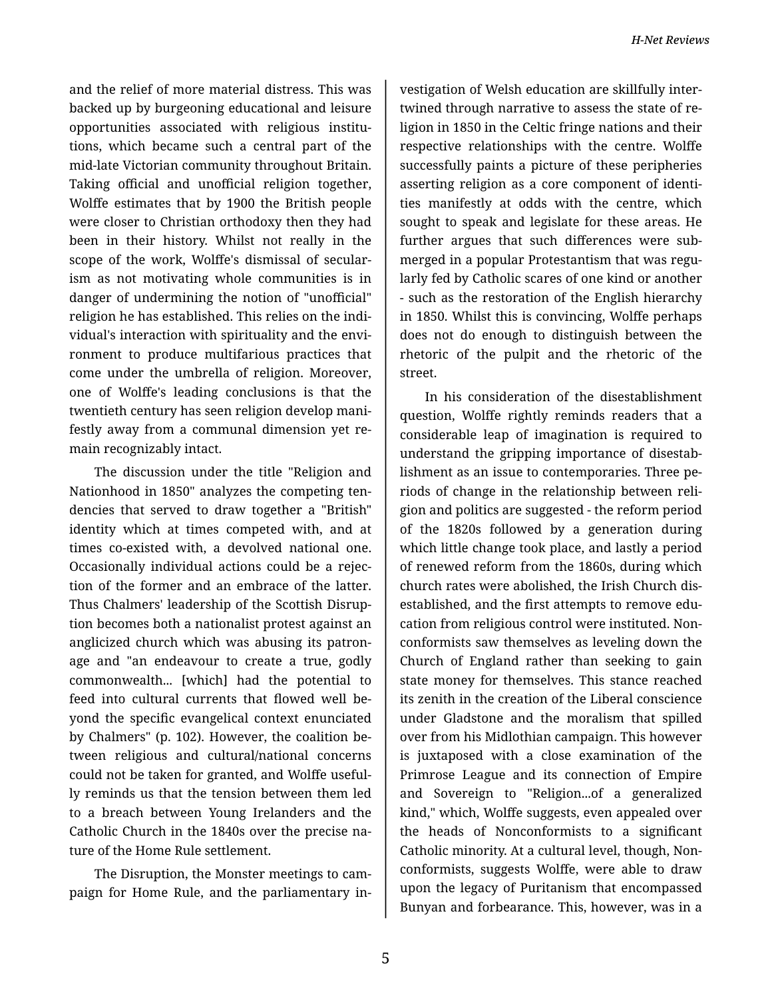and the relief of more material distress. This was backed up by burgeoning educational and leisure opportunities associated with religious institu‐ tions, which became such a central part of the mid-late Victorian community throughout Britain. Taking official and unofficial religion together, Wolffe estimates that by 1900 the British people were closer to Christian orthodoxy then they had been in their history. Whilst not really in the scope of the work, Wolffe's dismissal of secular‐ ism as not motivating whole communities is in danger of undermining the notion of "unofficial" religion he has established. This relies on the indi‐ vidual's interaction with spirituality and the envi‐ ronment to produce multifarious practices that come under the umbrella of religion. Moreover, one of Wolffe's leading conclusions is that the twentieth century has seen religion develop mani‐ festly away from a communal dimension yet re‐ main recognizably intact.

The discussion under the title "Religion and Nationhood in 1850" analyzes the competing ten‐ dencies that served to draw together a "British" identity which at times competed with, and at times co-existed with, a devolved national one. Occasionally individual actions could be a rejec‐ tion of the former and an embrace of the latter. Thus Chalmers' leadership of the Scottish Disrup‐ tion becomes both a nationalist protest against an anglicized church which was abusing its patron‐ age and "an endeavour to create a true, godly commonwealth... [which] had the potential to feed into cultural currents that flowed well be‐ yond the specific evangelical context enunciated by Chalmers" (p. 102). However, the coalition be‐ tween religious and cultural/national concerns could not be taken for granted, and Wolffe useful‐ ly reminds us that the tension between them led to a breach between Young Irelanders and the Catholic Church in the 1840s over the precise na‐ ture of the Home Rule settlement.

The Disruption, the Monster meetings to cam‐ paign for Home Rule, and the parliamentary in‐

vestigation of Welsh education are skillfully inter‐ twined through narrative to assess the state of re‐ ligion in 1850 in the Celtic fringe nations and their respective relationships with the centre. Wolffe successfully paints a picture of these peripheries asserting religion as a core component of identi‐ ties manifestly at odds with the centre, which sought to speak and legislate for these areas. He further argues that such differences were sub‐ merged in a popular Protestantism that was regu‐ larly fed by Catholic scares of one kind or another - such as the restoration of the English hierarchy in 1850. Whilst this is convincing, Wolffe perhaps does not do enough to distinguish between the rhetoric of the pulpit and the rhetoric of the street.

In his consideration of the disestablishment question, Wolffe rightly reminds readers that a considerable leap of imagination is required to understand the gripping importance of disestab‐ lishment as an issue to contemporaries. Three pe‐ riods of change in the relationship between reli‐ gion and politics are suggested - the reform period of the 1820s followed by a generation during which little change took place, and lastly a period of renewed reform from the 1860s, during which church rates were abolished, the Irish Church dis‐ established, and the first attempts to remove edu‐ cation from religious control were instituted. Non‐ conformists saw themselves as leveling down the Church of England rather than seeking to gain state money for themselves. This stance reached its zenith in the creation of the Liberal conscience under Gladstone and the moralism that spilled over from his Midlothian campaign. This however is juxtaposed with a close examination of the Primrose League and its connection of Empire and Sovereign to "Religion...of a generalized kind," which, Wolffe suggests, even appealed over the heads of Nonconformists to a significant Catholic minority. At a cultural level, though, Non‐ conformists, suggests Wolffe, were able to draw upon the legacy of Puritanism that encompassed Bunyan and forbearance. This, however, was in a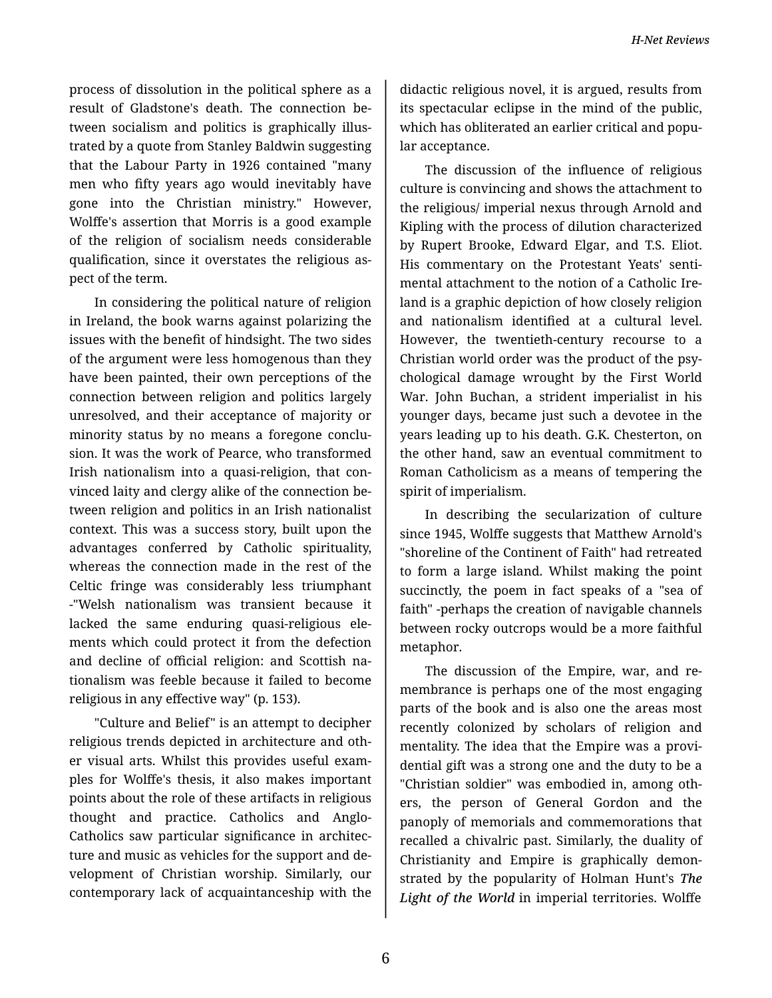process of dissolution in the political sphere as a result of Gladstone's death. The connection be‐ tween socialism and politics is graphically illus‐ trated by a quote from Stanley Baldwin suggesting that the Labour Party in 1926 contained "many men who fifty years ago would inevitably have gone into the Christian ministry." However, Wolffe's assertion that Morris is a good example of the religion of socialism needs considerable qualification, since it overstates the religious as‐ pect of the term.

In considering the political nature of religion in Ireland, the book warns against polarizing the issues with the benefit of hindsight. The two sides of the argument were less homogenous than they have been painted, their own perceptions of the connection between religion and politics largely unresolved, and their acceptance of majority or minority status by no means a foregone conclu‐ sion. It was the work of Pearce, who transformed Irish nationalism into a quasi-religion, that con‐ vinced laity and clergy alike of the connection be‐ tween religion and politics in an Irish nationalist context. This was a success story, built upon the advantages conferred by Catholic spirituality, whereas the connection made in the rest of the Celtic fringe was considerably less triumphant -"Welsh nationalism was transient because it lacked the same enduring quasi-religious ele‐ ments which could protect it from the defection and decline of official religion: and Scottish na‐ tionalism was feeble because it failed to become religious in any effective way" (p. 153).

"Culture and Belief" is an attempt to decipher religious trends depicted in architecture and oth‐ er visual arts. Whilst this provides useful exam‐ ples for Wolffe's thesis, it also makes important points about the role of these artifacts in religious thought and practice. Catholics and Anglo-Catholics saw particular significance in architec‐ ture and music as vehicles for the support and de‐ velopment of Christian worship. Similarly, our contemporary lack of acquaintanceship with the

didactic religious novel, it is argued, results from its spectacular eclipse in the mind of the public, which has obliterated an earlier critical and popular acceptance.

The discussion of the influence of religious culture is convincing and shows the attachment to the religious/ imperial nexus through Arnold and Kipling with the process of dilution characterized by Rupert Brooke, Edward Elgar, and T.S. Eliot. His commentary on the Protestant Yeats' senti‐ mental attachment to the notion of a Catholic Ire‐ land is a graphic depiction of how closely religion and nationalism identified at a cultural level. However, the twentieth-century recourse to a Christian world order was the product of the psy‐ chological damage wrought by the First World War. John Buchan, a strident imperialist in his younger days, became just such a devotee in the years leading up to his death. G.K. Chesterton, on the other hand, saw an eventual commitment to Roman Catholicism as a means of tempering the spirit of imperialism.

In describing the secularization of culture since 1945, Wolffe suggests that Matthew Arnold's "shoreline of the Continent of Faith" had retreated to form a large island. Whilst making the point succinctly, the poem in fact speaks of a "sea of faith" -perhaps the creation of navigable channels between rocky outcrops would be a more faithful metaphor.

The discussion of the Empire, war, and re‐ membrance is perhaps one of the most engaging parts of the book and is also one the areas most recently colonized by scholars of religion and mentality. The idea that the Empire was a provi‐ dential gift was a strong one and the duty to be a "Christian soldier" was embodied in, among oth‐ ers, the person of General Gordon and the panoply of memorials and commemorations that recalled a chivalric past. Similarly, the duality of Christianity and Empire is graphically demon‐ strated by the popularity of Holman Hunt's *The Light of the World* in imperial territories. Wolffe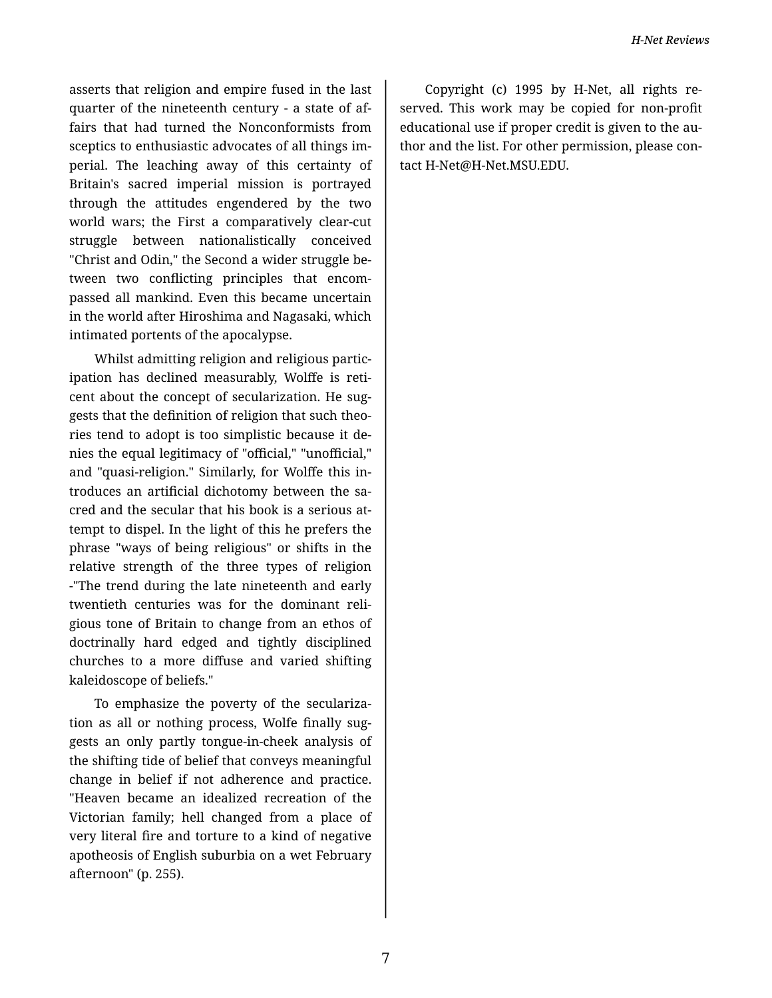asserts that religion and empire fused in the last quarter of the nineteenth century - a state of af‐ fairs that had turned the Nonconformists from sceptics to enthusiastic advocates of all things im‐ perial. The leaching away of this certainty of Britain's sacred imperial mission is portrayed through the attitudes engendered by the two world wars; the First a comparatively clear-cut struggle between nationalistically conceived "Christ and Odin," the Second a wider struggle be‐ tween two conflicting principles that encom‐ passed all mankind. Even this became uncertain in the world after Hiroshima and Nagasaki, which intimated portents of the apocalypse.

Whilst admitting religion and religious partic‐ ipation has declined measurably, Wolffe is reti‐ cent about the concept of secularization. He suggests that the definition of religion that such theo‐ ries tend to adopt is too simplistic because it de‐ nies the equal legitimacy of "official," "unofficial," and "quasi-religion." Similarly, for Wolffe this in‐ troduces an artificial dichotomy between the sa‐ cred and the secular that his book is a serious at‐ tempt to dispel. In the light of this he prefers the phrase "ways of being religious" or shifts in the relative strength of the three types of religion -"The trend during the late nineteenth and early twentieth centuries was for the dominant reli‐ gious tone of Britain to change from an ethos of doctrinally hard edged and tightly disciplined churches to a more diffuse and varied shifting kaleidoscope of beliefs."

To emphasize the poverty of the seculariza‐ tion as all or nothing process, Wolfe finally sug‐ gests an only partly tongue-in-cheek analysis of the shifting tide of belief that conveys meaningful change in belief if not adherence and practice. "Heaven became an idealized recreation of the Victorian family; hell changed from a place of very literal fire and torture to a kind of negative apotheosis of English suburbia on a wet February afternoon" (p. 255).

Copyright (c) 1995 by H-Net, all rights re‐ served. This work may be copied for non-profit educational use if proper credit is given to the au‐ thor and the list. For other permission, please con‐ tact H-Net@H-Net.MSU.EDU.